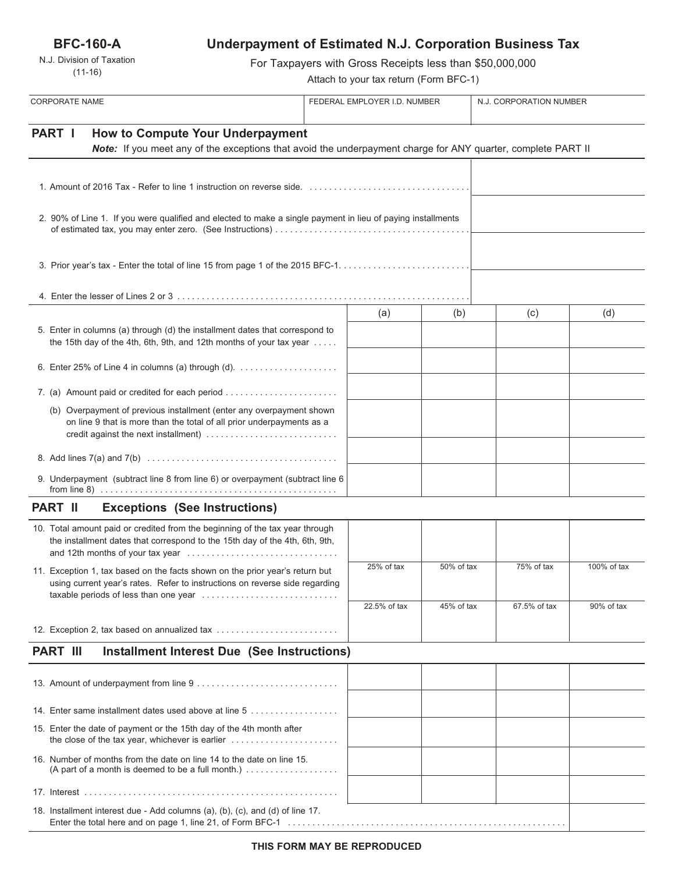**BFC-160-A**

N.J. Division of Taxation (11-16)

# **Underpayment of Estimated N.J. Corporation Business Tax**

For Taxpayers with Gross Receipts less than \$50,000,000

Attach to your tax return (Form BFC-1)

| <b>CORPORATE NAME</b>                                                                                                                                                                 |                                                                                                                                                                     | FEDERAL EMPLOYER I.D. NUMBER |              |            | N.J. CORPORATION NUMBER |             |
|---------------------------------------------------------------------------------------------------------------------------------------------------------------------------------------|---------------------------------------------------------------------------------------------------------------------------------------------------------------------|------------------------------|--------------|------------|-------------------------|-------------|
| PART I<br><b>How to Compute Your Underpayment</b><br>Note: If you meet any of the exceptions that avoid the underpayment charge for ANY quarter, complete PART II                     |                                                                                                                                                                     |                              |              |            |                         |             |
|                                                                                                                                                                                       |                                                                                                                                                                     |                              |              |            |                         |             |
| 2. 90% of Line 1. If you were qualified and elected to make a single payment in lieu of paying installments                                                                           |                                                                                                                                                                     |                              |              |            |                         |             |
|                                                                                                                                                                                       |                                                                                                                                                                     |                              |              |            |                         |             |
|                                                                                                                                                                                       |                                                                                                                                                                     |                              |              |            |                         |             |
|                                                                                                                                                                                       |                                                                                                                                                                     |                              | (a)          | (b)        | (c)                     | (d)         |
| 5. Enter in columns (a) through (d) the installment dates that correspond to<br>the 15th day of the 4th, 6th, 9th, and 12th months of your tax year                                   |                                                                                                                                                                     |                              |              |            |                         |             |
|                                                                                                                                                                                       | 6. Enter 25% of Line 4 in columns (a) through (d). $\ldots$                                                                                                         |                              |              |            |                         |             |
|                                                                                                                                                                                       | 7. (a) Amount paid or credited for each period                                                                                                                      |                              |              |            |                         |             |
| (b) Overpayment of previous installment (enter any overpayment shown<br>on line 9 that is more than the total of all prior underpayments as a<br>credit against the next installment) |                                                                                                                                                                     |                              |              |            |                         |             |
|                                                                                                                                                                                       |                                                                                                                                                                     |                              |              |            |                         |             |
| 9. Underpayment (subtract line 8 from line 6) or overpayment (subtract line 6                                                                                                         |                                                                                                                                                                     |                              |              |            |                         |             |
| <b>PART II</b>                                                                                                                                                                        | <b>Exceptions (See Instructions)</b>                                                                                                                                |                              |              |            |                         |             |
|                                                                                                                                                                                       | 10. Total amount paid or credited from the beginning of the tax year through<br>the installment dates that correspond to the 15th day of the 4th, 6th, 9th,         |                              |              |            |                         |             |
|                                                                                                                                                                                       | 11. Exception 1, tax based on the facts shown on the prior year's return but<br>using current year's rates. Refer to instructions on reverse side regarding         |                              | 25% of tax   | 50% of tax | 75% of tax              | 100% of tax |
|                                                                                                                                                                                       |                                                                                                                                                                     |                              | 22.5% of tax | 45% of tax | 67.5% of tax            | 90% of tax  |
| 12. Exception 2, tax based on annualized tax                                                                                                                                          |                                                                                                                                                                     |                              |              |            |                         |             |
| <b>PART III</b><br><b>Installment Interest Due (See Instructions)</b>                                                                                                                 |                                                                                                                                                                     |                              |              |            |                         |             |
|                                                                                                                                                                                       |                                                                                                                                                                     |                              |              |            |                         |             |
|                                                                                                                                                                                       |                                                                                                                                                                     |                              |              |            |                         |             |
|                                                                                                                                                                                       | 14. Enter same installment dates used above at line 5                                                                                                               |                              |              |            |                         |             |
|                                                                                                                                                                                       | 15. Enter the date of payment or the 15th day of the 4th month after<br>the close of the tax year, whichever is earlier $\ldots \ldots \ldots \ldots \ldots \ldots$ |                              |              |            |                         |             |
|                                                                                                                                                                                       | 16. Number of months from the date on line 14 to the date on line 15.                                                                                               |                              |              |            |                         |             |
|                                                                                                                                                                                       |                                                                                                                                                                     |                              |              |            |                         |             |
|                                                                                                                                                                                       | 18. Installment interest due - Add columns (a), (b), (c), and (d) of line 17.                                                                                       |                              |              |            |                         |             |

Enter the total here and on page 1, line 21, of Form BFC-1 . . . . . . . . . . . . . . . . . . . . . . . . . . . . . . . . . . . . . . . . . . . . . . . . . . . . . . . . .